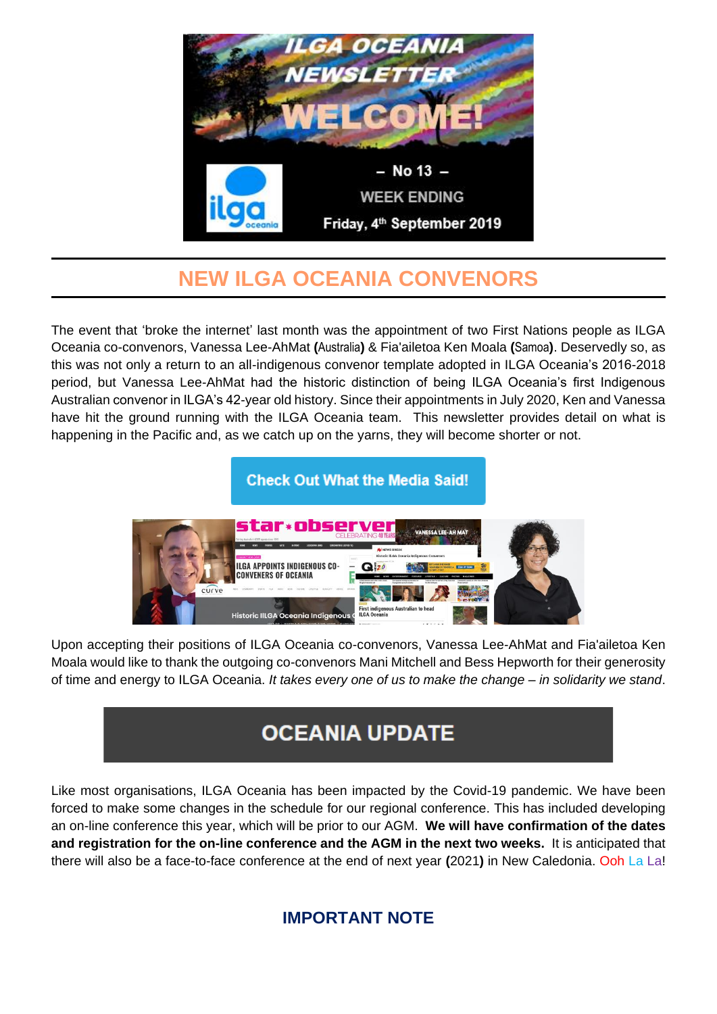

## **NEW ILGA OCEANIA CONVENORS**

The event that 'broke the internet' last month was the appointment of two First Nations people as ILGA Oceania co-convenors, Vanessa Lee-AhMat **(**Australia**)** & Fia'ailetoa Ken Moala **(**Samoa**)**. Deservedly so, as this was not only a return to an all-indigenous convenor template adopted in ILGA Oceania's 2016-2018 period, but Vanessa Lee-AhMat had the historic distinction of being ILGA Oceania's first Indigenous Australian convenor in ILGA's 42-year old history. Since their appointments in July 2020, Ken and Vanessa have hit the ground running with the ILGA Oceania team. This newsletter provides detail on what is happening in the Pacific and, as we catch up on the yarns, they will become shorter or not.



Upon accepting their positions of ILGA Oceania co-convenors, Vanessa Lee-AhMat and Fia'ailetoa Ken Moala would like to thank the outgoing co-convenors Mani Mitchell and Bess Hepworth for their generosity of time and energy to ILGA Oceania. *It takes every one of us to make the change – in solidarity we stand*.

# **OCEANIA UPDATE**

Like most organisations, ILGA Oceania has been impacted by the Covid-19 pandemic. We have been forced to make some changes in the schedule for our regional conference. This has included developing an on-line conference this year, which will be prior to our AGM. **We will have confirmation of the dates and registration for the on-line conference and the AGM in the next two weeks.** It is anticipated that there will also be a face-to-face conference at the end of next year **(**2021**)** in New Caledonia. Ooh La La!

### **IMPORTANT NOTE**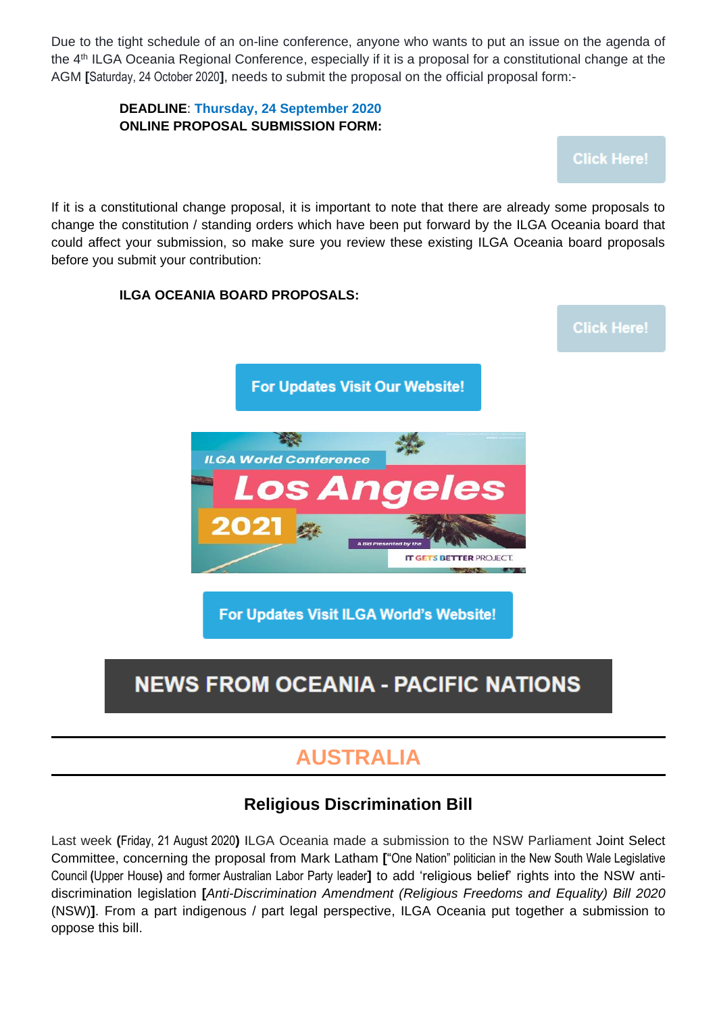Due to the tight schedule of an on-line conference, anyone who wants to put an issue on the agenda of the 4<sup>th</sup> ILGA Oceania Regional Conference, especially if it is a proposal for a constitutional change at the AGM **[**Saturday, 24 October 2020**]**, needs to submit the proposal on the official proposal form:-

#### **DEADLINE**: **Thursday, 24 September 2020 ONLINE PROPOSAL SUBMISSION FORM:**

**Click Here!** 

If it is a constitutional change proposal, it is important to note that there are already some proposals to change the constitution / standing orders which have been put forward by the ILGA Oceania board that could affect your submission, so make sure you review these existing ILGA Oceania board proposals before you submit your contribution:

#### **ILGA OCEANIA BOARD PROPOSALS:**

**Click Here!** 

**For Updates Visit Our Website!** 



For Updates Visit ILGA World's Website!

# **NEWS FROM OCEANIA - PACIFIC NATIONS**

### **AUSTRALIA**

#### **Religious Discrimination Bill**

Last week **(**Friday, 21 August 2020**)** ILGA Oceania made a submission to the NSW Parliament Joint Select Committee, concerning the proposal from Mark Latham **[**"One Nation" politician in the New South Wale [Legislative](https://en.wikipedia.org/wiki/New_South_Wales_Legislative_Council) [Council](https://en.wikipedia.org/wiki/New_South_Wales_Legislative_Council) **(**Upper House**)** and former Australian Labor Party leader**]** to add 'religious belief' rights into the NSW antidiscrimination legislation **[***Anti-Discrimination Amendment (Religious Freedoms and Equality) Bill 2020* (NSW)**]**. From a part indigenous / part legal perspective, ILGA Oceania put together a submission to oppose this bill.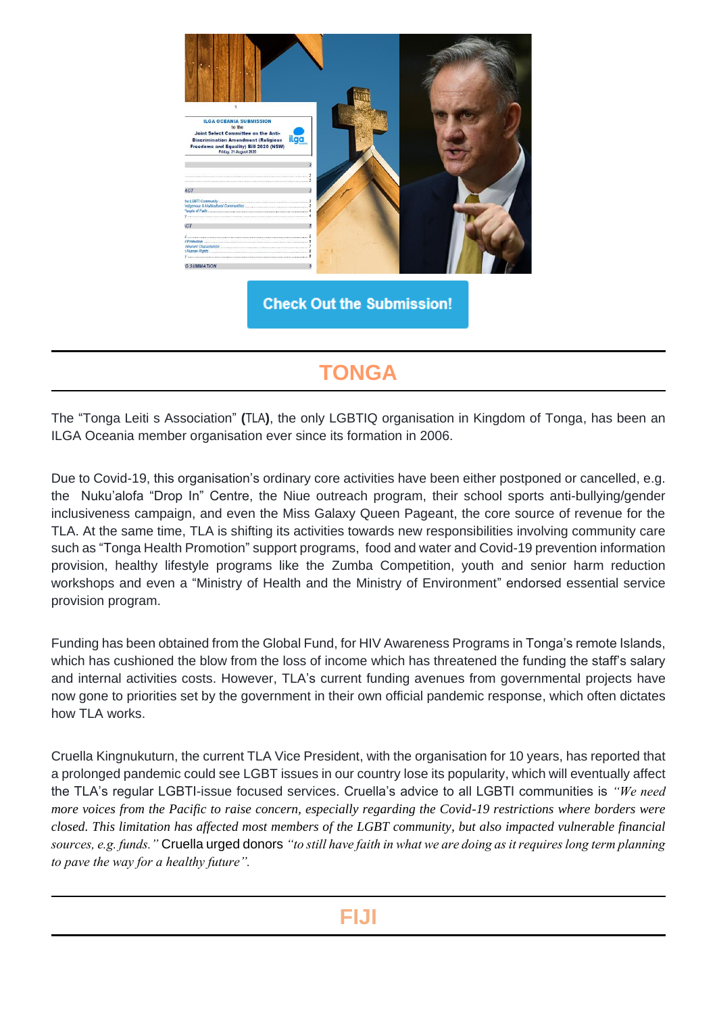

**Check Out the Submission!** 

# **TONGA**

The "Tonga Leiti s Association" **(**TLA**)**, the only LGBTIQ organisation in Kingdom of Tonga, has been an ILGA Oceania member organisation ever since its formation in 2006.

Due to Covid-19, this organisation's ordinary core activities have been either postponed or cancelled, e.g. the Nuku'alofa "Drop In" Centre, the Niue outreach program, their school sports anti-bullying/gender inclusiveness campaign, and even the Miss Galaxy Queen Pageant, the core source of revenue for the TLA. At the same time, TLA is shifting its activities towards new responsibilities involving community care such as "Tonga Health Promotion" support programs, food and water and Covid-19 prevention information provision, healthy lifestyle programs like the Zumba Competition, youth and senior harm reduction workshops and even a "Ministry of Health and the Ministry of Environment" endorsed essential service provision program.

Funding has been obtained from the Global Fund, for HIV Awareness Programs in Tonga's remote Islands, which has cushioned the blow from the loss of income which has threatened the funding the staff's salary and internal activities costs. However, TLA's current funding avenues from governmental projects have now gone to priorities set by the government in their own official pandemic response, which often dictates how TLA works.

Cruella Kingnukuturn, the current TLA Vice President, with the organisation for 10 years, has reported that a prolonged pandemic could see LGBT issues in our country lose its popularity, which will eventually affect the TLA's regular LGBTI-issue focused services. Cruella's advice to all LGBTI communities is *"We need more voices from the Pacific to raise concern, especially regarding the Covid-19 restrictions where borders were closed. This limitation has affected most members of the LGBT community, but also impacted vulnerable financial sources, e.g. funds."* Cruella urged donors *"to still have faith in what we are doing as it requires long term planning to pave the way for a healthy future".*

### **FIJI**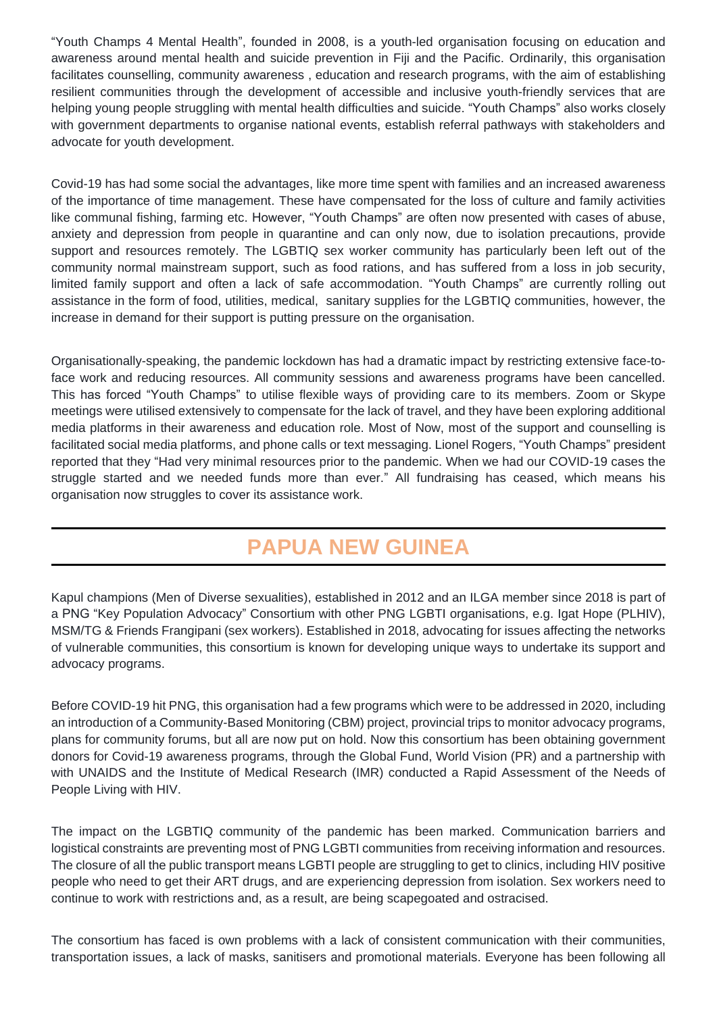"Youth Champs 4 Mental Health", founded in 2008, is a youth-led organisation focusing on education and awareness around mental health and suicide prevention in Fiji and the Pacific. Ordinarily, this organisation facilitates counselling, community awareness , education and research programs, with the aim of establishing resilient communities through the development of accessible and inclusive youth-friendly services that are helping young people struggling with mental health difficulties and suicide. "Youth Champs" also works closely with government departments to organise national events, establish referral pathways with stakeholders and advocate for youth development.

Covid-19 has had some social the advantages, like more time spent with families and an increased awareness of the importance of time management. These have compensated for the loss of culture and family activities like communal fishing, farming etc. However, "Youth Champs" are often now presented with cases of abuse, anxiety and depression from people in quarantine and can only now, due to isolation precautions, provide support and resources remotely. The LGBTIQ sex worker community has particularly been left out of the community normal mainstream support, such as food rations, and has suffered from a loss in job security, limited family support and often a lack of safe accommodation. "Youth Champs" are currently rolling out assistance in the form of food, utilities, medical, sanitary supplies for the LGBTIQ communities, however, the increase in demand for their support is putting pressure on the organisation.

Organisationally-speaking, the pandemic lockdown has had a dramatic impact by restricting extensive face-toface work and reducing resources. All community sessions and awareness programs have been cancelled. This has forced "Youth Champs" to utilise flexible ways of providing care to its members. Zoom or Skype meetings were utilised extensively to compensate for the lack of travel, and they have been exploring additional media platforms in their awareness and education role. Most of Now, most of the support and counselling is facilitated social media platforms, and phone calls or text messaging. Lionel Rogers, "Youth Champs" president reported that they "Had very minimal resources prior to the pandemic. When we had our COVID-19 cases the struggle started and we needed funds more than ever." All fundraising has ceased, which means his organisation now struggles to cover its assistance work.

# **PAPUA NEW GUINEA**

Kapul champions (Men of Diverse sexualities), established in 2012 and an ILGA member since 2018 is part of a PNG "Key Population Advocacy" Consortium with other PNG LGBTI organisations, e.g. Igat Hope (PLHIV), MSM/TG & Friends Frangipani (sex workers). Established in 2018, advocating for issues affecting the networks of vulnerable communities, this consortium is known for developing unique ways to undertake its support and advocacy programs.

Before COVID-19 hit PNG, this organisation had a few programs which were to be addressed in 2020, including an introduction of a Community-Based Monitoring (CBM) project, provincial trips to monitor advocacy programs, plans for community forums, but all are now put on hold. Now this consortium has been obtaining government donors for Covid-19 awareness programs, through the Global Fund, World Vision (PR) and a partnership with with UNAIDS and the Institute of Medical Research (IMR) conducted a Rapid Assessment of the Needs of People Living with HIV.

The impact on the LGBTIQ community of the pandemic has been marked. Communication barriers and logistical constraints are preventing most of PNG LGBTI communities from receiving information and resources. The closure of all the public transport means LGBTI people are struggling to get to clinics, including HIV positive people who need to get their ART drugs, and are experiencing depression from isolation. Sex workers need to continue to work with restrictions and, as a result, are being scapegoated and ostracised.

The consortium has faced is own problems with a lack of consistent communication with their communities, transportation issues, a lack of masks, sanitisers and promotional materials. Everyone has been following all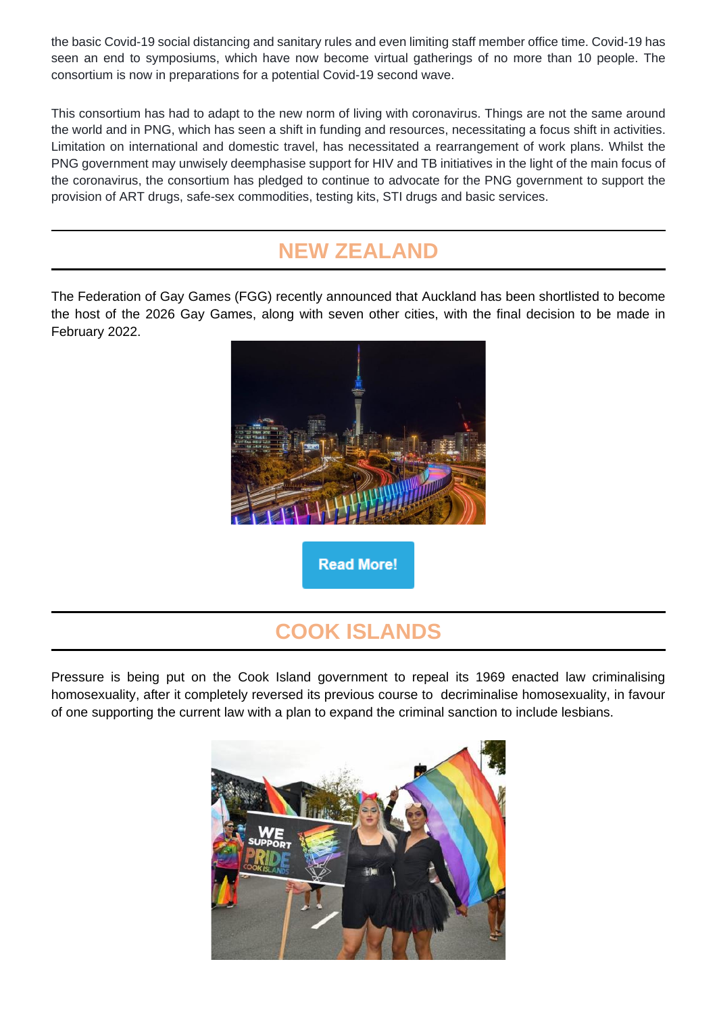the basic Covid-19 social distancing and sanitary rules and even limiting staff member office time. Covid-19 has seen an end to symposiums, which have now become virtual gatherings of no more than 10 people. The consortium is now in preparations for a potential Covid-19 second wave.

This consortium has had to adapt to the new norm of living with coronavirus. Things are not the same around the world and in PNG, which has seen a shift in funding and resources, necessitating a focus shift in activities. Limitation on international and domestic travel, has necessitated a rearrangement of work plans. Whilst the PNG government may unwisely deemphasise support for HIV and TB initiatives in the light of the main focus of the coronavirus, the consortium has pledged to continue to advocate for the PNG government to support the provision of ART drugs, safe-sex commodities, testing kits, STI drugs and basic services.

### **NEW ZEALAND**

The Federation of Gay Games (FGG) recently announced that Auckland has been shortlisted to become the host of the 2026 Gay Games, along with seven other cities, with the final decision to be made in February 2022.



## **COOK ISLANDS**

Pressure is being put on the Cook Island government to repeal its 1969 enacted law criminalising homosexuality, after it completely reversed its previous course to decriminalise homosexuality, in favour of one supporting the current law with a plan to expand the criminal sanction to include lesbians.